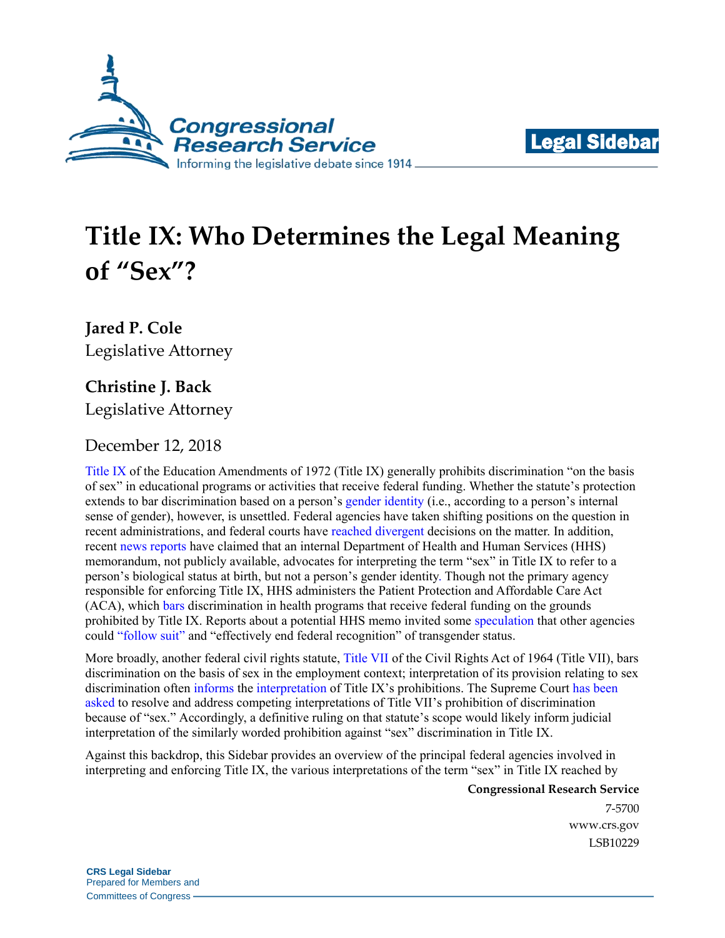



# **Title IX: Who Determines the Legal Meaning of "Sex"?**

**Jared P. Cole** Legislative Attorney

## **Christine J. Back**

Legislative Attorney

### December 12, 2018

[Title IX](https://www.justice.gov/crt/title-ix-education-amendments-1972) of the Education Amendments of 1972 (Title IX) generally prohibits discrimination "on the basis of sex" in educational programs or activities that receive federal funding. Whether the statute's protection extends to bar discrimination based on a person's [gender identity](https://www.merriam-webster.com/dictionary/gender%20identity) (i.e., according to a person's internal sense of gender), however, is unsettled. Federal agencies have taken shifting positions on the question in recent administrations, and federal courts have [reached](https://scholar.google.com/scholar_case?case=2337649072000067895&q=Adams+by+and+through+Kasper+v.+School+Board+of+St.+Johns+County,+Florida&hl=en&as_sdt=4,325) [divergent](https://scholar.google.com/scholar_case?case=12979488251120480196&q=97+F.Supp.3d+657&hl=en&as_sdt=20006) decisions on the matter. In addition, recent [news](https://www.nbcnews.com/feature/nbc-out/wontbeerased-lgbtq-advocates-mobilize-following-leaked-memo-n923096) [reports](https://www.nytimes.com/2018/10/21/us/politics/transgender-trump-administration-sex-definition.html) have claimed that an internal Department of Health and Human Services (HHS) memorandum, not publicly available, advocates for interpreting the term "sex" in Title IX to refer to a person's biological status at birth, but not a person's [gender identity.](https://www.merriam-webster.com/dictionary/gender%20identity) Though not the primary agency responsible for enforcing Title IX, HHS administers the Patient Protection and Affordable Care Act (ACA), which [bars](https://www.law.cornell.edu/uscode/text/42/18116) discrimination in health programs that receive federal funding on the grounds prohibited by Title IX. Reports about a potential HHS memo invited some [speculation](https://www.washingtonpost.com/outlook/2018/10/29/trump-administration-says-it-wants-define-sex-biological-basis-it-gets-science-wrong/?utm_term=.f7bc4caf190e) that other agencies could ["follow suit"](http://time.com/5432091/gender-identity-transgender-hhs-memo/) and "effectively end federal recognition" of transgender status.

More broadly, another federal civil rights statute, [Title VII](https://www.eeoc.gov/laws/statutes/titlevii.cfm) of the Civil Rights Act of 1964 (Title VII), bars discrimination on the basis of sex in the employment context; interpretation of its provision relating to sex discrimination often [informs](https://scholar.google.com/scholar_case?case=9925244354708318027&q=633+F.3d+81&hl=en&as_sdt=20006) the [interpretation](https://scholar.google.com/scholar_case?case=3022724147282446357&q=Doe+by+and+through+Doe+v.+Boyertown+Area+School+District&hl=en&as_sdt=20006) of Title IX's prohibitions. The Supreme Court [has](http://www.scotusblog.com/case-files/cases/altitude-express-inc-v-zarda/) [been](http://www.scotusblog.com/case-files/cases/bostock-v-clayton-county-georgia/) [asked](http://www.scotusblog.com/case-files/cases/r-g-g-r-harris-funeral-homes-inc-v-equal-opportunity-employment-commission/) to resolve and address competing interpretations of Title VII's prohibition of discrimination because of "sex." Accordingly, a definitive ruling on that statute's scope would likely inform judicial interpretation of the similarly worded prohibition against "sex" discrimination in Title IX.

Against this backdrop, this Sidebar provides an overview of the principal federal agencies involved in interpreting and enforcing Title IX, the various interpretations of the term "sex" in Title IX reached by

**Congressional Research Service**

7-5700 [www.crs.gov](http://www.crs.gov/) LSB10229

**CRS Legal Sidebar** Prepared for Members and Committees of Congress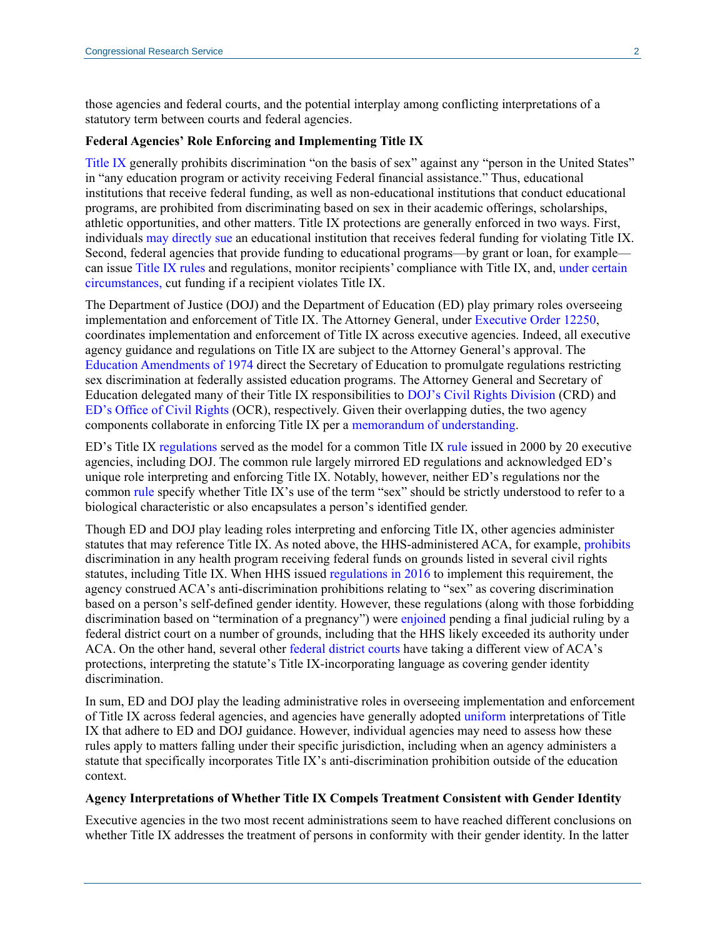those agencies and federal courts, and the potential interplay among conflicting interpretations of a statutory term between courts and federal agencies.

#### **Federal Agencies' Role Enforcing and Implementing Title IX**

[Title IX](https://www.law.cornell.edu/uscode/text/20/1681) generally prohibits discrimination "on the basis of sex" against any "person in the United States" in "any education program or activity receiving Federal financial assistance." Thus, educational institutions that receive federal funding, as well as non-educational institutions that conduct educational programs, are prohibited from discriminating based on sex in their academic offerings, scholarships, athletic opportunities, and other matters. Title IX protections are generally enforced in two ways. First, individuals [may directly sue](https://supreme.justia.com/cases/federal/us/441/677/) an educational institution that receives federal funding for violating Title IX. Second, federal agencies that provide funding to educational programs—by grant or loan, for example can issue [Title IX rules](https://www.justice.gov/crt/overview-title-ix-education-amendments-1972-20-usc-1681-et-seq) and regulations, monitor recipients' compliance with Title IX, and, [under certain](http://uscode.house.gov/view.xhtml?req=(title:20%20section:1682%20edition:prelim)%20OR%20(granuleid:USC-prelim-title20-section1682)&f=treesort&edition=prelim&num=0&jumpTo=true)  [circumstances,](http://uscode.house.gov/view.xhtml?req=(title:20%20section:1682%20edition:prelim)%20OR%20(granuleid:USC-prelim-title20-section1682)&f=treesort&edition=prelim&num=0&jumpTo=true) cut funding if a recipient violates Title IX.

The Department of Justice (DOJ) and the Department of Education (ED) play primary roles overseeing implementation and enforcement of Title IX. The Attorney General, under [Executive Order 12250,](https://www.justice.gov/crt/executive-order-12250) coordinates implementation and enforcement of Title IX across executive agencies. Indeed, all executive agency guidance and regulations on Title IX are subject to the Attorney General's approval. The [Education Amendments](http://uscode.house.gov/statviewer.htm?volume=88&page=612) of 1974 direct the Secretary of Education to promulgate regulations restricting sex discrimination at federally assisted education programs. The Attorney General and Secretary of Education delegated many of their Title IX responsibilities to DOJ's [Civil Rights Division](https://www.justice.gov/crt) (CRD) and [ED's Office of Civil Rights](https://www2.ed.gov/about/offices/list/ocr/index.html) (OCR), respectively. Given their overlapping duties, the two agency components collaborate in enforcing Title IX per a [memorandum of understanding.](https://www.justice.gov/sites/default/files/crt/legacy/2014/04/28/ED_DOJ_MOU_TitleIX-04-29-2014.pdf)

ED's Title IX [regulations](https://www.ecfr.gov/cgi-bin/text-idx?SID=7a5ff8c42edc9fb878e2c8264921ae30&mc=true&tpl=/ecfrbrowse/Title34/34cfr106_main_02.tpl) served as the model for a common Title IX [rule](https://www.justice.gov/crt/federal-coordination-and-compliance-section-156) issued in 2000 by 20 executive agencies, including DOJ. The common rule largely mirrored ED regulations and acknowledged ED's unique role interpreting and enforcing Title IX. Notably, however, neither ED's regulations nor the common [rule](https://www.govinfo.gov/app/details/FR-2000-08-30/00-20916/context) specify whether Title IX's use of the term "sex" should be strictly understood to refer to a biological characteristic or also encapsulates a person's identified gender.

Though ED and DOJ play leading roles interpreting and enforcing Title IX, other agencies administer statutes that may reference Title IX. As noted above, the HHS-administered ACA, for example, [prohibits](https://www.law.cornell.edu/uscode/text/42/18116) discrimination in any health program receiving federal funds on grounds listed in several civil rights statutes, including Title IX. When HHS issued [regulations](https://www.law.cornell.edu/cfr/text/45/part-92/subpart-A) in 2016 to implement this requirement, the agency construed ACA's anti-discrimination prohibitions relating to "sex" as covering discrimination based on a person's self-defined gender identity. However, these regulations (along with those forbidding discrimination based on "termination of a pregnancy") were [enjoined](https://scholar.google.com/scholar_case?case=14386575405068683828&q=227+F.Supp.3d+660&hl=en&as_sdt=20006) pending a final judicial ruling by a federal district court on a number of grounds, including that the HHS likely exceeded its authority under ACA. On the other hand, several other [federal](https://www.gpo.gov/fdsys/pkg/USCOURTS-mnd-0_16-cv-00100/pdf/USCOURTS-mnd-0_16-cv-00100-1.pdf) [district](http://files.eqcf.org/wp-content/uploads/2018/09/207-Opinion-and-Order-MSJs.pdf) [courts](http://files.eqcf.org/wp-content/uploads/2018/09/207-Opinion-and-Order-MSJs.pdf) have taking a different view of ACA's protections, interpreting the statute's Title IX-incorporating language as covering gender identity discrimination.

In sum, ED and DOJ play the leading administrative roles in overseeing implementation and enforcement of Title IX across federal agencies, and agencies have generally adopted [uniform](https://www.justice.gov/crt/federal-coordination-and-compliance-section-156) interpretations of Title IX that adhere to ED and DOJ guidance. However, individual agencies may need to assess how these rules apply to matters falling under their specific jurisdiction, including when an agency administers a statute that specifically incorporates Title IX's anti-discrimination prohibition outside of the education context.

#### **Agency Interpretations of Whether Title IX Compels Treatment Consistent with Gender Identity**

Executive agencies in the two most recent administrations seem to have reached different conclusions on whether Title IX addresses the treatment of persons in conformity with their gender identity. In the latter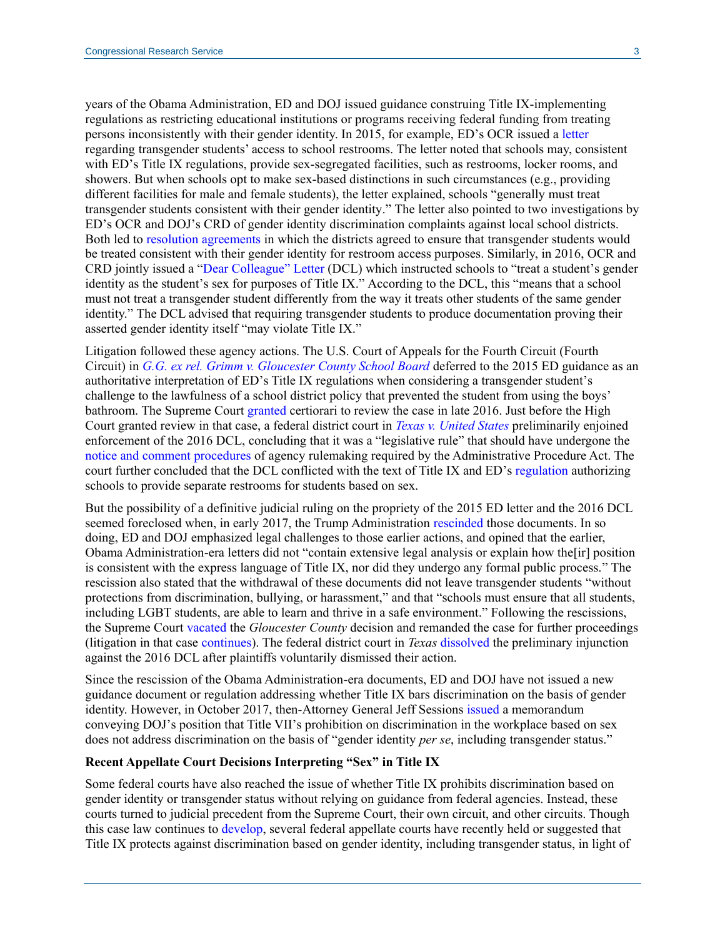years of the Obama Administration, ED and DOJ issued guidance construing Title IX-implementing regulations as restricting educational institutions or programs receiving federal funding from treating persons inconsistently with their gender identity. In 2015, for example, ED's OCR issued a [letter](http://www.bricker.com/documents/misc/transgender_student_restroom_access_1-2015.pdf) regarding transgender students' access to school restrooms. The letter noted that schools may, consistent with ED's Title IX regulations, provide sex-segregated facilities, such as restrooms, locker rooms, and showers. But when schools opt to make sex-based distinctions in such circumstances (e.g., providing different facilities for male and female students), the letter explained, schools "generally must treat transgender students consistent with their gender identity." The letter also pointed to two investigations by ED's OCR and DOJ's CRD of gender identity discrimination complaints against local school districts. Both led to [resolution agreements](http://www.bricker.com/documents/misc/transgender_student_restroom_access_1-2015.pdf) in which the districts agreed to ensure that transgender students would be treated consistent with their gender identity for restroom access purposes. Similarly, in 2016, OCR and CRD jointly issued a ["Dear Colleague" Letter](https://www2.ed.gov/about/offices/list/ocr/letters/colleague-201605-title-ix-transgender.pdf) (DCL) which instructed schools to "treat a student's gender identity as the student's sex for purposes of Title IX." According to the DCL, this "means that a school must not treat a transgender student differently from the way it treats other students of the same gender identity." The DCL advised that requiring transgender students to produce documentation proving their asserted gender identity itself "may violate Title IX."

Litigation followed these agency actions. The U.S. Court of Appeals for the Fourth Circuit (Fourth Circuit) in *[G.G. ex rel. Grimm v. Gloucester County School Board](https://scholar.google.com/scholar_case?case=8559666395330509814&q=822+F.3d+709&hl=en&as_sdt=20006)* deferred to the 2015 ED guidance as an authoritative interpretation of ED's Title IX regulations when considering a transgender student's challenge to the lawfulness of a school district policy that prevented the student from using the boys' bathroom. The Supreme Court [granted](https://scholar.google.com/scholar_case?case=9258833638594015671&q=137+S.Ct.+369&hl=en&as_sdt=20006) certiorari to review the case in late 2016. Just before the High Court granted review in that case, a federal district court in *[Texas v. United States](https://scholar.google.com/scholar_case?case=48685695113464305&q=201+F.Supp.3d+810&hl=en&as_sdt=20006)* preliminarily enjoined enforcement of the 2016 DCL, concluding that it was a "legislative rule" that should have undergone the notice [and comment procedures](https://www.law.cornell.edu/uscode/text/5/553) of agency rulemaking required by the Administrative Procedure Act. The court further concluded that the DCL conflicted with the text of Title IX and ED's [regulation](https://www.ecfr.gov/cgi-bin/text-idx?SID=3c90680a8aad7e7631ba14128747e572&mc=true&node=se34.1.106_133&rgn=div8) authorizing schools to provide separate restrooms for students based on sex.

But the possibility of a definitive judicial ruling on the propriety of the 2015 ED letter and the 2016 DCL seemed foreclosed when, in early 2017, the Trump Administration [rescinded](https://www2.ed.gov/ocr/letters/colleague-201702-title-ix.pdf) those documents. In so doing, ED and DOJ emphasized legal challenges to those earlier actions, and opined that the earlier, Obama Administration-era letters did not "contain extensive legal analysis or explain how the[ir] position is consistent with the express language of Title IX, nor did they undergo any formal public process." The rescission also stated that the withdrawal of these documents did not leave transgender students "without protections from discrimination, bullying, or harassment," and that "schools must ensure that all students, including LGBT students, are able to learn and thrive in a safe environment." Following the rescissions, the Supreme Court [vacated](https://www.supremecourt.gov/qp/16-00273qp.pdf) the *Gloucester County* decision and remanded the case for further proceedings (litigation in that case [continues\)](https://acluva.org/sites/default/files/field_documents/grimm_mtd_ruling.pdf). The federal district court in *Texas* [dissolved](http://files.eqcf.org/cases/716-cv-00054-128/) the preliminary injunction against the 2016 DCL after plaintiffs voluntarily dismissed their action.

Since the rescission of the Obama Administration-era documents, ED and DOJ have not issued a new guidance document or regulation addressing whether Title IX bars discrimination on the basis of gender identity. However, in October 2017, then-Attorney General Jeff Sessions [issued](https://www.justice.gov/ag/page/file/1006981/download) a memorandum conveying DOJ's position that Title VII's prohibition on discrimination in the workplace based on sex does not address discrimination on the basis of "gender identity *per se*, including transgender status."

#### **Recent Appellate Court Decisions Interpreting "Sex" in Title IX**

Some federal courts have also reached the issue of whether Title IX prohibits discrimination based on gender identity or transgender status without relying on guidance from federal agencies. Instead, these courts turned to judicial precedent from the Supreme Court, their own circuit, and other circuits. Though this case law continues to [develop,](https://scholar.google.com/scholar_case?case=12979488251120480196&q=97+F.Supp.3d+657&hl=en&as_sdt=20006) several federal appellate courts have recently held or suggested that Title IX protects against discrimination based on gender identity, including transgender status, in light of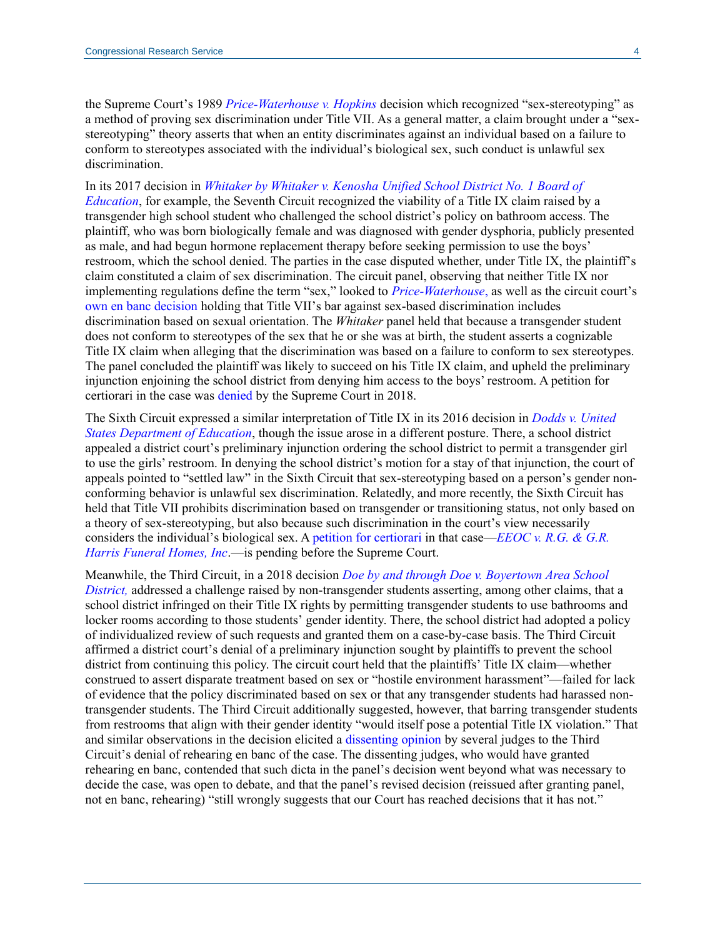the Supreme Court's 1989 *[Price-Waterhouse v. Hopkins](https://cdn.loc.gov/service/ll/usrep/usrep490/usrep490228/usrep490228.pdf)* decision which recognized "sex-stereotyping" as a method of proving sex discrimination under Title VII. As a general matter, a claim brought under a "sexstereotyping" theory asserts that when an entity discriminates against an individual based on a failure to conform to stereotypes associated with the individual's biological sex, such conduct is unlawful sex discrimination.

In its 2017 decision in *[Whitaker by Whitaker v. Kenosha Unified School District No. 1 Board of](https://scholar.google.com/scholar_case?case=9489172744748605764&q=Whitaker+by+Whitaker+7th+Circuit&hl=en&as_sdt=20003)  [Education](https://scholar.google.com/scholar_case?case=9489172744748605764&q=Whitaker+by+Whitaker+7th+Circuit&hl=en&as_sdt=20003)*, for example, the Seventh Circuit recognized the viability of a Title IX claim raised by a transgender high school student who challenged the school district's policy on bathroom access. The plaintiff, who was born biologically female and was diagnosed with gender dysphoria, publicly presented as male, and had begun hormone replacement therapy before seeking permission to use the boys' restroom, which the school denied. The parties in the case disputed whether, under Title IX, the plaintiff's claim constituted a claim of sex discrimination. The circuit panel, observing that neither Title IX nor implementing regulations define the term "sex," looked to *[Price-Waterhouse](https://cdn.loc.gov/service/ll/usrep/usrep490/usrep490228/usrep490228.pdf)*, as well as the circuit court's [own en banc decision](https://scholar.google.com/scholar_case?case=7107595910255863116&hl=en&as_sdt=6&as_vis=1&oi=scholarr) holding that Title VII's bar against sex-based discrimination includes discrimination based on sexual orientation. The *Whitaker* panel held that because a transgender student does not conform to stereotypes of the sex that he or she was at birth, the student asserts a cognizable Title IX claim when alleging that the discrimination was based on a failure to conform to sex stereotypes. The panel concluded the plaintiff was likely to succeed on his Title IX claim, and upheld the preliminary injunction enjoining the school district from denying him access to the boys' restroom. A petition for certiorari in the case was [denied](http://www.scotusblog.com/case-files/cases/kenosha-unified-school-district-no-1-board-education-v-whitaker/) by the Supreme Court in 2018.

The Sixth Circuit expressed a similar interpretation of Title IX in its 2016 decision in *[Dodds v. United](https://scholar.google.com/scholar_case?case=5284944924802937242&q=Dodds+v.+United+States+Department+of+Education&hl=en&as_sdt=20006)  [States Department of Education](https://scholar.google.com/scholar_case?case=5284944924802937242&q=Dodds+v.+United+States+Department+of+Education&hl=en&as_sdt=20006)*, though the issue arose in a different posture. There, a school district appealed a district court's preliminary injunction ordering the school district to permit a transgender girl to use the girls' restroom. In denying the school district's motion for a stay of that injunction, the court of appeals pointed to "settled law" in the Sixth Circuit that sex-stereotyping based on a person's gender nonconforming behavior is unlawful sex discrimination. Relatedly, and more recently, the Sixth Circuit has held that Title VII prohibits discrimination based on transgender or transitioning status, not only based on a theory of sex-stereotyping, but also because such discrimination in the court's view necessarily considers the individual's biological sex. A [petition for certiorari](http://www.scotusblog.com/case-files/cases/r-g-g-r-harris-funeral-homes-inc-v-equal-opportunity-employment-commission/) in that case—*[EEOC v. R.G. & G.R.](https://scholar.google.com/scholar_case?case=11341739590762191378&q=EEOC+v.+R.G.+%26+G.R.+Harris+Funeral+Homes,+Inc&hl=en&as_sdt=20006)  [Harris Funeral Homes, Inc](https://scholar.google.com/scholar_case?case=11341739590762191378&q=EEOC+v.+R.G.+%26+G.R.+Harris+Funeral+Homes,+Inc&hl=en&as_sdt=20006)*.—is pending before the Supreme Court.

Meanwhile, the Third Circuit, in a 2018 decision *[Doe by and through Doe v. Boyertown Area School](https://scholar.google.com/scholar_case?case=3022724147282446357&q=Doe+by+and+through+Doe+v.+Boyertown+Area+School+District&hl=en&as_sdt=20006)  [District,](https://scholar.google.com/scholar_case?case=3022724147282446357&q=Doe+by+and+through+Doe+v.+Boyertown+Area+School+District&hl=en&as_sdt=20006)* addressed a challenge raised by non-transgender students asserting, among other claims, that a school district infringed on their Title IX rights by permitting transgender students to use bathrooms and locker rooms according to those students' gender identity. There, the school district had adopted a policy of individualized review of such requests and granted them on a case-by-case basis. The Third Circuit affirmed a district court's denial of a preliminary injunction sought by plaintiffs to prevent the school district from continuing this policy. The circuit court held that the plaintiffs' Title IX claim—whether construed to assert disparate treatment based on sex or "hostile environment harassment"—failed for lack of evidence that the policy discriminated based on sex or that any transgender students had harassed nontransgender students. The Third Circuit additionally suggested, however, that barring transgender students from restrooms that align with their gender identity "would itself pose a potential Title IX violation." That and similar observations in the decision elicited a [dissenting opinion](http://www2.ca3.uscourts.gov/opinarch/173113po.pdf) by several judges to the Third Circuit's denial of rehearing en banc of the case. The dissenting judges, who would have granted rehearing en banc, contended that such dicta in the panel's decision went beyond what was necessary to decide the case, was open to debate, and that the panel's revised decision (reissued after granting panel, not en banc, rehearing) "still wrongly suggests that our Court has reached decisions that it has not."